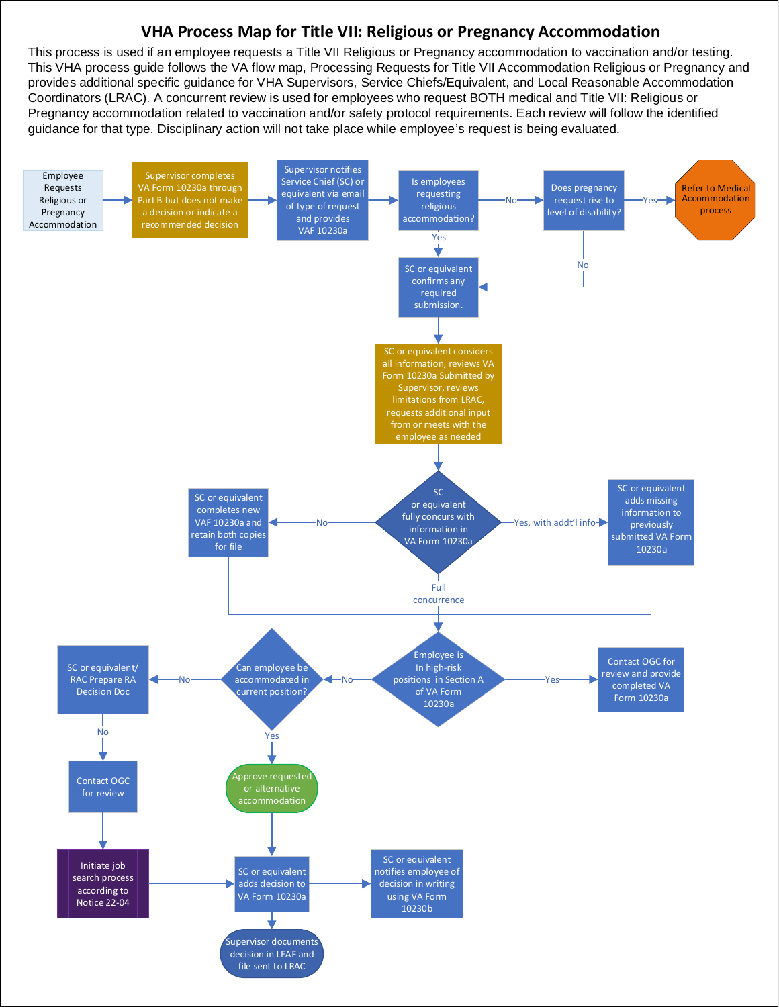## **VHA Process Map for Title VII: Religious or Pregnancy Accommodation**

This process is used if an employee requests a Title VII Religious or Pregnancy accommodation to vaccination and/or testing. This VHA process guide follows the VA flow map, Processing Requests for Title VII Accommodation Religious or Pregnancy and provides additional specific guidance for VHA Supervisors, Service Chiefs/Equivalent, and Local Reasonable Accommodation Coordinators (LRAC). A concurrent review is used for employees who request BOTH medical and Title VII: Religious or Pregnancy accommodation related to vaccination and/or safety protocol requirements. Each review will follow the identified guidance for that type. Disciplinary action will not take place while employee's request is being evaluated.